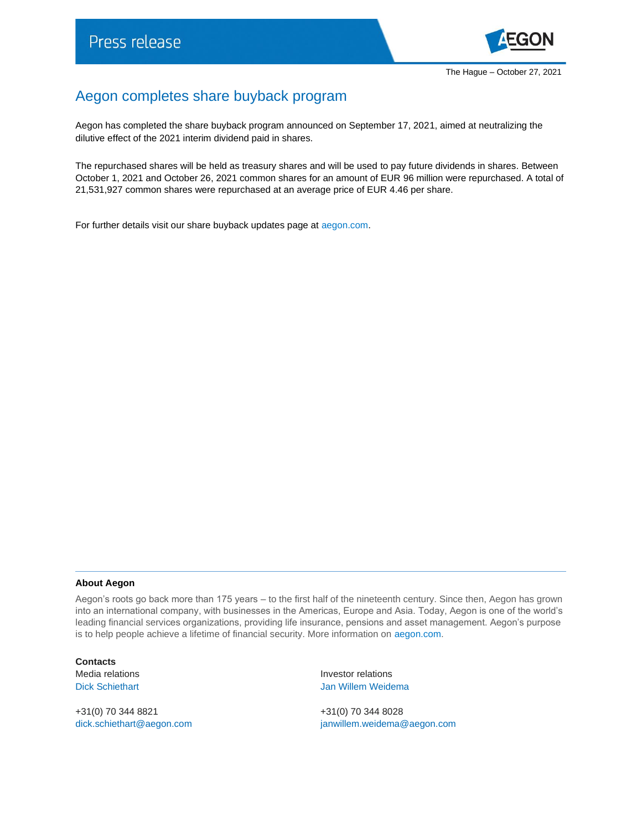

## Aegon completes share buyback program

Aegon has completed the share buyback program announced on September 17, 2021, aimed at neutralizing the dilutive effect of the 2021 interim dividend paid in shares.

The repurchased shares will be held as treasury shares and will be used to pay future dividends in shares. Between October 1, 2021 and October 26, 2021 common shares for an amount of EUR 96 million were repurchased. A total of 21,531,927 common shares were repurchased at an average price of EUR 4.46 per share.

For further details visit our share buyback updates page a[t aegon.com.](https://www.aegon.com/investors/shareholders/share-buyback-program/)

## **About Aegon**

Aegon's roots go back more than 175 years – to the first half of the nineteenth century. Since then, Aegon has grown into an international company, with businesses in the Americas, Europe and Asia. Today, Aegon is one of the world's leading financial services organizations, providing life insurance, pensions and asset management. Aegon's purpose is to help people achieve a lifetime of financial security. More information on [aegon.com.](https://www.aegon.com/about/)

**Contacts**

+31(0) 70 344 8821 +31(0) 70 344 8028

Media relations **Investor relations** Dick Schiethart **Disk Schiethart** Jan Willem Weidema

[dick.schiethart@aegon.com](mailto:dick.schiethart@aegon.com) [janwillem.weidema@aegon.com](mailto:janwillem.weidema@aegon.com)